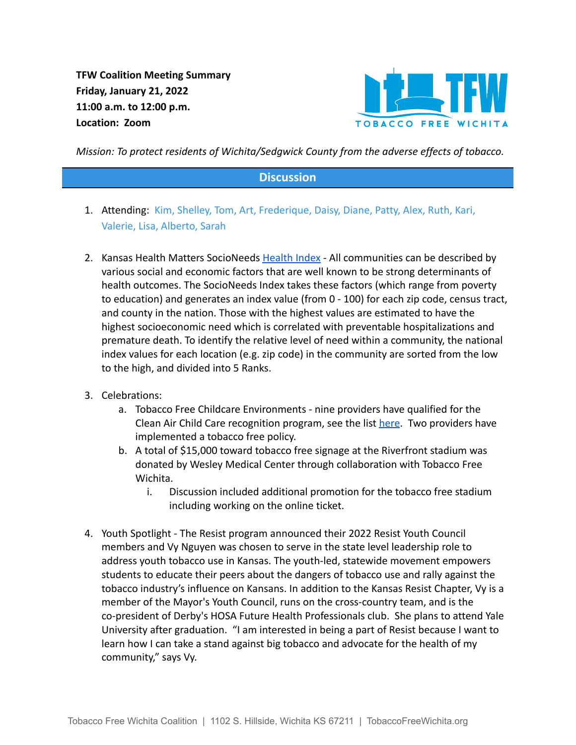**TFW Coalition Meeting Summary Friday, January 21, 2022 11:00 a.m. to 12:00 p.m. Location: Zoom**



*Mission: To protect residents of Wichita/Sedgwick County from the adverse effects of tobacco.*

## **Discussion**

- 1. Attending: Kim, Shelley, Tom, Art, Frederique, Daisy, Diane, Patty, Alex, Ruth, Kari, Valerie, Lisa, Alberto, Sarah
- 2. Kansas Health Matters SocioNeeds [Health Index](https://www.kansashealthmatters.org/index.php?module=indicators&controller=index&action=socioneeds) All communities can be described by various social and economic factors that are well known to be strong determinants of health outcomes. The SocioNeeds Index takes these factors (which range from poverty to education) and generates an index value (from 0 - 100) for each zip code, census tract, and county in the nation. Those with the highest values are estimated to have the highest socioeconomic need which is correlated with preventable hospitalizations and premature death. To identify the relative level of need within a community, the national index values for each location (e.g. zip code) in the community are sorted from the low to the high, and divided into 5 Ranks.
- 3. Celebrations:
	- a. Tobacco Free Childcare Environments nine providers have qualified for the Clean Air Child Care recognition program, see the list [here](https://tobaccofreewichita.org/tobacco-free-childcare/). Two providers have implemented a tobacco free policy.
	- b. A total of \$15,000 toward tobacco free signage at the Riverfront stadium was donated by Wesley Medical Center through collaboration with Tobacco Free Wichita.
		- i. Discussion included additional promotion for the tobacco free stadium including working on the online ticket.
- 4. Youth Spotlight The Resist program announced their 2022 Resist Youth Council members and Vy Nguyen was chosen to serve in the state level leadership role to address youth tobacco use in Kansas. The youth-led, statewide movement empowers students to educate their peers about the dangers of tobacco use and rally against the tobacco industry's influence on Kansans. In addition to the Kansas Resist Chapter, Vy is a member of the Mayor's Youth Council, runs on the cross-country team, and is the co-president of Derby's HOSA Future Health Professionals club. She plans to attend Yale University after graduation. "I am interested in being a part of Resist because I want to learn how I can take a stand against big tobacco and advocate for the health of my community," says Vy.